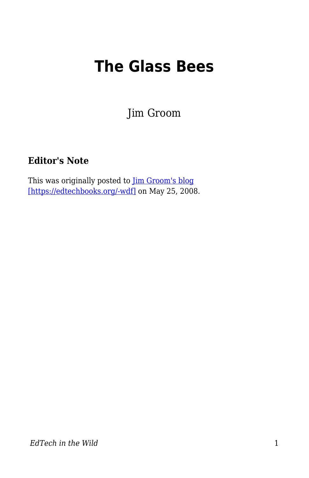## **The Glass Bees**

Jim Groom

## **Editor's Note**

This was originally posted to [Jim Groom's blog](https://bavatuesdays.com/the-glass-bees/) [\[https://edtechbooks.org/-wdf\]](https://bavatuesdays.com/the-glass-bees/) on May 25, 2008.

*EdTech in the Wild* 1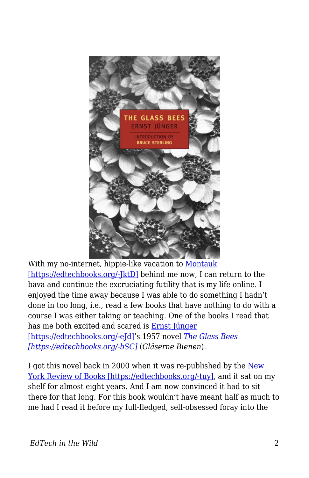

With my no-internet, hippie-like vacation to [Montauk](http://en.wikipedia.org/wiki/Montauk,%20New%20York) [https://edtechbooks.org/-[ktD] behind me now, I can return to the bava and continue the excruciating futility that is my life online. I enjoyed the time away because I was able to do something I hadn't done in too long, i.e., read a few books that have nothing to do with a course I was either taking or teaching. One of the books I read that has me both excited and scared is [Ernst Jünger](http://en.wikipedia.org/wiki/Ernst%20J%C3%BCnger) [\[https://edtechbooks.org/-eJd\]](http://en.wikipedia.org/wiki/Ernst%20J%C3%BCnger)'s 1957 novel *[The Glass Bees](http://en.wikipedia.org/wiki/The%20Glass%20Bees) [\[https://edtechbooks.org/-bSC\]](http://en.wikipedia.org/wiki/The%20Glass%20Bees)* (*Gläserne Bienen*).

I got this novel back in 2000 when it was re-published by the [New](http://www.nybooks.com/shop/product?product_id=9) [York Review of Books \[https://edtechbooks.org/-tuy\],](http://www.nybooks.com/shop/product?product_id=9) and it sat on my shelf for almost eight years. And I am now convinced it had to sit there for that long. For this book wouldn't have meant half as much to me had I read it before my full-fledged, self-obsessed foray into the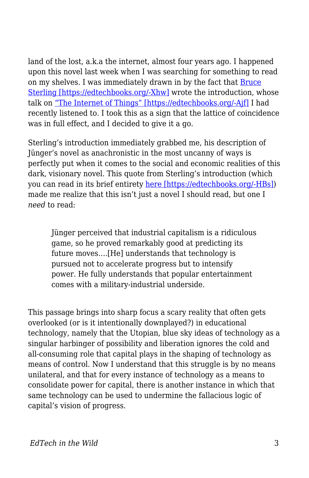land of the lost, a.k.a the internet, almost four years ago. I happened upon this novel last week when I was searching for something to read on my shelves. I was immediately drawn in by the fact that **[Bruce](http://en.wikipedia.org/wiki/Bruce%20Sterling)** [Sterling \[https://edtechbooks.org/-Xhw\]](http://en.wikipedia.org/wiki/Bruce%20Sterling) wrote the introduction, whose talk on ["The Internet of Things" \[https://edtechbooks.org/-Ajf\]](http://itc.conversationsnetwork.org/shows/detail717.html) I had recently listened to. I took this as a sign that the lattice of coincidence was in full effect, and I decided to give it a go.

Sterling's introduction immediately grabbed me, his description of Jünger's novel as anachronistic in the most uncanny of ways is perfectly put when it comes to the social and economic realities of this dark, visionary novel. This quote from Sterling's introduction (which you can read in its brief entirety [here \[https://edtechbooks.org/-HBs\]\)](http://www.nybooks.com/shop/product-file/09/theg9/introduction.pdf) made me realize that this isn't just a novel I should read, but one I *need* to read:

Jünger perceived that industrial capitalism is a ridiculous game, so he proved remarkably good at predicting its future moves….[He] understands that technology is pursued not to accelerate progress but to intensify power. He fully understands that popular entertainment comes with a military-industrial underside.

This passage brings into sharp focus a scary reality that often gets overlooked (or is it intentionally downplayed?) in educational technology, namely that the Utopian, blue sky ideas of technology as a singular harbinger of possibility and liberation ignores the cold and all-consuming role that capital plays in the shaping of technology as means of control. Now I understand that this struggle is by no means unilateral, and that for every instance of technology as a means to consolidate power for capital, there is another instance in which that same technology can be used to undermine the fallacious logic of capital's vision of progress.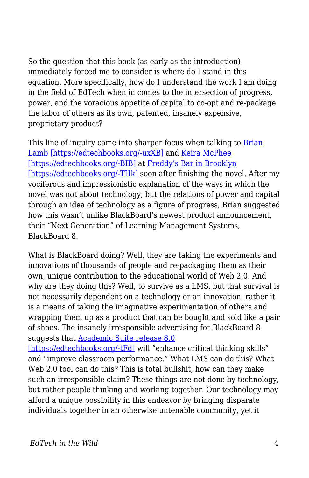So the question that this book (as early as the introduction) immediately forced me to consider is where do I stand in this equation. More specifically, how do I understand the work I am doing in the field of EdTech when in comes to the intersection of progress, power, and the voracious appetite of capital to co-opt and re-package the labor of others as its own, patented, insanely expensive, proprietary product?

This line of inquiry came into sharper focus when talking to [Brian](http://weblogs.elearning.ubc.ca/brian/) [Lamb \[https://edtechbooks.org/-uxXB\]](http://weblogs.elearning.ubc.ca/brian/) and [Keira McPhee](http://tothequick.wordpress.com/) [\[https://edtechbooks.org/-BIB\]](http://tothequick.wordpress.com/) at [Freddy's Bar in Brooklyn](http://www.freddysbackroom.com/) [\[https://edtechbooks.org/-THk\]](http://www.freddysbackroom.com/) soon after finishing the novel. After my vociferous and impressionistic explanation of the ways in which the novel was not about technology, but the relations of power and capital through an idea of technology as a figure of progress, Brian suggested how this wasn't unlike BlackBoard's newest product announcement, their "Next Generation" of Learning Management Systems, BlackBoard 8.

What is BlackBoard doing? Well, they are taking the experiments and innovations of thousands of people and re-packaging them as their own, unique contribution to the educational world of Web 2.0. And why are they doing this? Well, to survive as a LMS, but that survival is not necessarily dependent on a technology or an innovation, rather it is a means of taking the imaginative experimentation of others and wrapping them up as a product that can be bought and sold like a pair of shoes. The insanely irresponsible advertising for BlackBoard 8 suggests that [Academic Suite release 8.0](http://www.blackboard.com/release8/)

[\[https://edtechbooks.org/-tFd\]](http://www.blackboard.com/release8/) will "enhance critical thinking skills" and "improve classroom performance." What LMS can do this? What Web 2.0 tool can do this? This is total bullshit, how can they make such an irresponsible claim? These things are not done by technology, but rather people thinking and working together. Our technology may afford a unique possibility in this endeavor by bringing disparate individuals together in an otherwise untenable community, yet it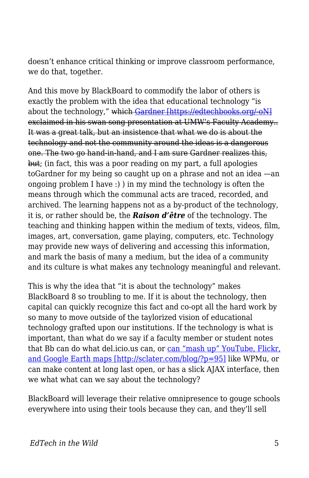doesn't enhance critical thinking or improve classroom performance, we do that, together.

And this move by BlackBoard to commodify the labor of others is exactly the problem with the idea that educational technology "is about the technology," which [Gardner \[https://edtechbooks.org/-oN\]](http://gardnercampbell.net/blog1) exclaimed in his swan song presentation at UMW's Faculty Academy.. It was a great talk, but an insistence that what we do is about the technology and not the community around the ideas is a dangerous one. The two go hand-in-hand, and I am sure Gardner realizes this, but; (in fact, this was a poor reading on my part, a full apologies toGardner for my being so caught up on a phrase and not an idea —an ongoing problem I have :) ) in my mind the technology is often the means through which the communal acts are traced, recorded, and archived. The learning happens not as a by-product of the technology, it is, or rather should be, the *Raison d'être* of the technology. The teaching and thinking happen within the medium of texts, videos, film, images, art, conversation, game playing, computers, etc. Technology may provide new ways of delivering and accessing this information, and mark the basis of many a medium, but the idea of a community and its culture is what makes any technology meaningful and relevant.

This is why the idea that "it is about the technology" makes BlackBoard 8 so troubling to me. If it is about the technology, then capital can quickly recognize this fact and co-opt all the hard work by so many to move outside of the taylorized vision of educational technology grafted upon our institutions. If the technology is what is important, than what do we say if a faculty member or student notes that Bb can do what del.icio.us can, or [can "mash up" YouTube, Flickr,](http://sclater.com/blog/?p=95) [and Google Earth maps \[http://sclater.com/blog/?p=95\]](http://sclater.com/blog/?p=95) like WPMu, or can make content at long last open, or has a slick AJAX interface, then we what what can we say about the technology?

BlackBoard will leverage their relative omnipresence to gouge schools everywhere into using their tools because they can, and they'll sell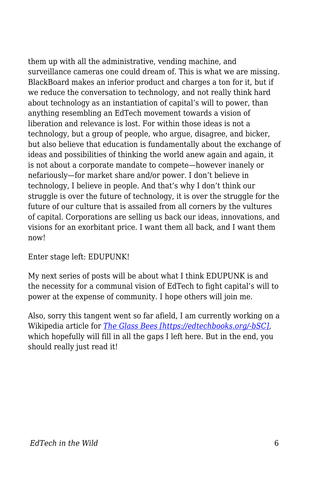them up with all the administrative, vending machine, and surveillance cameras one could dream of. This is what we are missing. BlackBoard makes an inferior product and charges a ton for it, but if we reduce the conversation to technology, and not really think hard about technology as an instantiation of capital's will to power, than anything resembling an EdTech movement towards a vision of liberation and relevance is lost. For within those ideas is not a technology, but a group of people, who argue, disagree, and bicker, but also believe that education is fundamentally about the exchange of ideas and possibilities of thinking the world anew again and again, it is not about a corporate mandate to compete—however inanely or nefariously—for market share and/or power. I don't believe in technology, I believe in people. And that's why I don't think our struggle is over the future of technology, it is over the struggle for the future of our culture that is assailed from all corners by the vultures of capital. Corporations are selling us back our ideas, innovations, and visions for an exorbitant price. I want them all back, and I want them now!

Enter stage left: EDUPUNK!

My next series of posts will be about what I think EDUPUNK is and the necessity for a communal vision of EdTech to fight capital's will to power at the expense of community. I hope others will join me.

Also, sorry this tangent went so far afield, I am currently working on a Wikipedia article for *[The Glass Bees \[https://edtechbooks.org/-bSC\]](http://en.wikipedia.org/wiki/The%20Glass%20Bees)*, which hopefully will fill in all the gaps I left here. But in the end, you should really just read it!